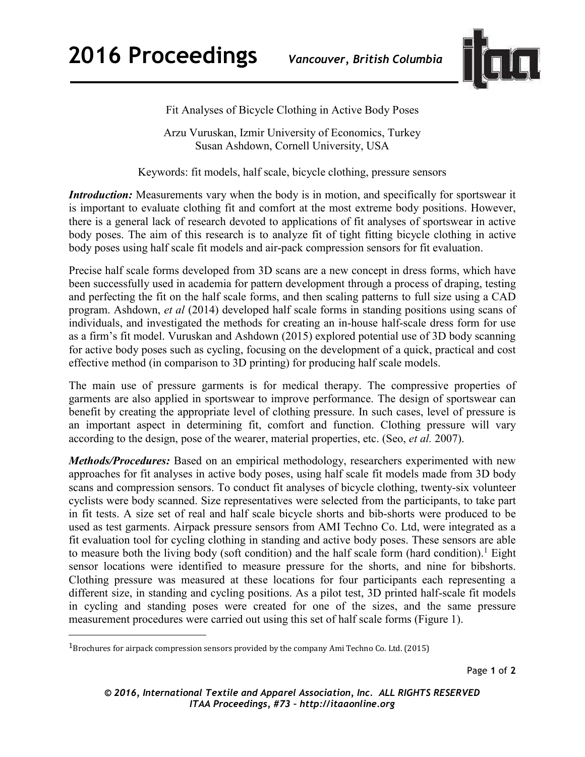

Fit Analyses of Bicycle Clothing in Active Body Poses

Arzu Vuruskan, Izmir University of Economics, Turkey Susan Ashdown, Cornell University, USA

Keywords: fit models, half scale, bicycle clothing, pressure sensors

*Introduction:* Measurements vary when the body is in motion, and specifically for sportswear it is important to evaluate clothing fit and comfort at the most extreme body positions. However, there is a general lack of research devoted to applications of fit analyses of sportswear in active body poses. The aim of this research is to analyze fit of tight fitting bicycle clothing in active body poses using half scale fit models and air-pack compression sensors for fit evaluation.

Precise half scale forms developed from 3D scans are a new concept in dress forms, which have been successfully used in academia for pattern development through a process of draping, testing and perfecting the fit on the half scale forms, and then scaling patterns to full size using a CAD program. Ashdown, *et al* (2014) developed half scale forms in standing positions using scans of individuals, and investigated the methods for creating an in-house half-scale dress form for use as a firm's fit model. Vuruskan and Ashdown (2015) explored potential use of 3D body scanning for active body poses such as cycling, focusing on the development of a quick, practical and cost effective method (in comparison to 3D printing) for producing half scale models.

The main use of pressure garments is for medical therapy. The compressive properties of garments are also applied in sportswear to improve performance. The design of sportswear can benefit by creating the appropriate level of clothing pressure. In such cases, level of pressure is an important aspect in determining fit, comfort and function. Clothing pressure will vary according to the design, pose of the wearer, material properties, etc. (Seo, *et al.* 2007).

*Methods/Procedures:* Based on an empirical methodology, researchers experimented with new approaches for fit analyses in active body poses, using half scale fit models made from 3D body scans and compression sensors. To conduct fit analyses of bicycle clothing, twenty-six volunteer cyclists were body scanned. Size representatives were selected from the participants, to take part in fit tests. A size set of real and half scale bicycle shorts and bib-shorts were produced to be used as test garments. Airpack pressure sensors from AMI Techno Co. Ltd, were integrated as a fit evaluation tool for cycling clothing in standing and active body poses. These sensors are able to measure both the living body (soft condition) and the half scale form (hard condition).<sup>1</sup> Eight sensor locations were identified to measure pressure for the shorts, and nine for bibshorts. Clothing pressure was measured at these locations for four participants each representing a different size, in standing and cycling positions. As a pilot test, 3D printed half-scale fit models in cycling and standing poses were created for one of the sizes, and the same pressure measurement procedures were carried out using this set of half scale forms (Figure 1).

 $\overline{\phantom{a}}$ 

<sup>1</sup>Brochures for airpack compression sensors provided by the company Ami Techno Co. Ltd. (2015)